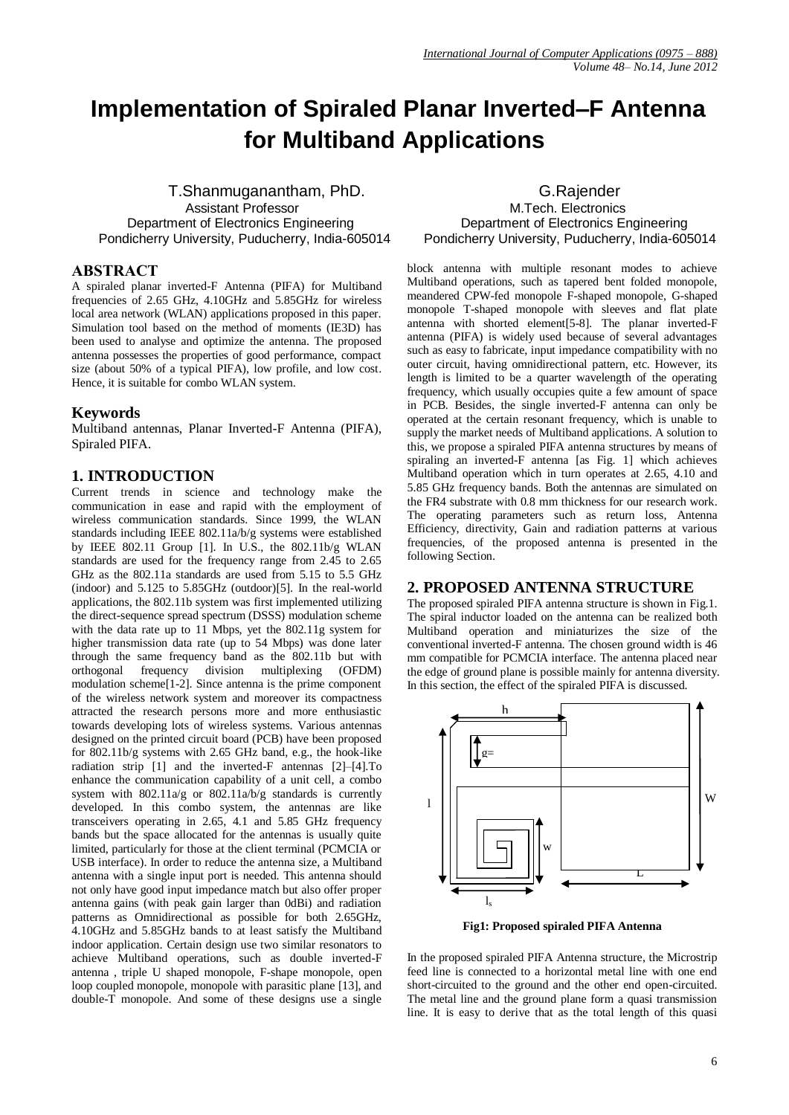# **Implementation of Spiraled Planar Inverted–F Antenna for Multiband Applications**

T.Shanmuganantham, PhD. G.Rajender Assistant Professor M.Tech. Electronics Pondicherry University, Puducherry, India-605014

## **ABSTRACT**

A spiraled planar inverted-F Antenna (PIFA) for Multiband frequencies of 2.65 GHz, 4.10GHz and 5.85GHz for wireless local area network (WLAN) applications proposed in this paper. Simulation tool based on the method of moments (IE3D) has been used to analyse and optimize the antenna. The proposed antenna possesses the properties of good performance, compact size (about 50% of a typical PIFA), low profile, and low cost. Hence, it is suitable for combo WLAN system.

## **Keywords**

Multiband antennas, Planar Inverted-F Antenna (PIFA), Spiraled PIFA.

## **1. INTRODUCTION**

Current trends in science and technology make the communication in ease and rapid with the employment of wireless communication standards. Since 1999, the WLAN standards including IEEE 802.11a/b/g systems were established by IEEE 802.11 Group [1]. In U.S., the 802.11b/g WLAN standards are used for the frequency range from 2.45 to 2.65 GHz as the 802.11a standards are used from 5.15 to 5.5 GHz (indoor) and 5.125 to 5.85GHz (outdoor)[5]. In the real-world applications, the 802.11b system was first implemented utilizing the direct-sequence spread spectrum (DSSS) modulation scheme with the data rate up to 11 Mbps, yet the 802.11g system for higher transmission data rate (up to 54 Mbps) was done later through the same frequency band as the 802.11b but with orthogonal frequency division multiplexing (OFDM) division multiplexing (OFDM) modulation scheme[1-2]. Since antenna is the prime component of the wireless network system and moreover its compactness attracted the research persons more and more enthusiastic towards developing lots of wireless systems. Various antennas designed on the printed circuit board (PCB) have been proposed for 802.11b/g systems with 2.65 GHz band, e.g., the hook-like radiation strip [1] and the inverted-F antennas [2]–[4].To enhance the communication capability of a unit cell, a combo system with  $802.11a/g$  or  $802.11a/b/g$  standards is currently developed. In this combo system, the antennas are like transceivers operating in 2.65, 4.1 and 5.85 GHz frequency bands but the space allocated for the antennas is usually quite limited, particularly for those at the client terminal (PCMCIA or USB interface). In order to reduce the antenna size, a Multiband antenna with a single input port is needed. This antenna should not only have good input impedance match but also offer proper antenna gains (with peak gain larger than 0dBi) and radiation patterns as Omnidirectional as possible for both 2.65GHz, 4.10GHz and 5.85GHz bands to at least satisfy the Multiband indoor application. Certain design use two similar resonators to achieve Multiband operations, such as double inverted-F antenna , triple U shaped monopole, F-shape monopole, open loop coupled monopole, monopole with parasitic plane [13], and double-T monopole. And some of these designs use a single

Department of Electronics Engineering<br>
Department of Electronics Engineering<br>
Department of Electronics Engineering<br>
Department of Electronics Engineering<br>
Department of Electronics Engineering<br>
Department of Electronics E

block antenna with multiple resonant modes to achieve Multiband operations, such as tapered bent folded monopole, meandered CPW-fed monopole F-shaped monopole, G-shaped monopole T-shaped monopole with sleeves and flat plate antenna with shorted element[5-8]. The planar inverted-F antenna (PIFA) is widely used because of several advantages such as easy to fabricate, input impedance compatibility with no outer circuit, having omnidirectional pattern, etc. However, its length is limited to be a quarter wavelength of the operating frequency, which usually occupies quite a few amount of space in PCB. Besides, the single inverted-F antenna can only be operated at the certain resonant frequency, which is unable to supply the market needs of Multiband applications. A solution to this, we propose a spiraled PIFA antenna structures by means of spiraling an inverted-F antenna [as Fig. 1] which achieves Multiband operation which in turn operates at 2.65, 4.10 and 5.85 GHz frequency bands. Both the antennas are simulated on the FR4 substrate with 0.8 mm thickness for our research work. The operating parameters such as return loss, Antenna Efficiency, directivity, Gain and radiation patterns at various frequencies, of the proposed antenna is presented in the following Section.

### **2. PROPOSED ANTENNA STRUCTURE**

The proposed spiraled PIFA antenna structure is shown in Fig.1. The spiral inductor loaded on the antenna can be realized both Multiband operation and miniaturizes the size of the conventional inverted-F antenna. The chosen ground width is 46 mm compatible for PCMCIA interface. The antenna placed near the edge of ground plane is possible mainly for antenna diversity. In this section, the effect of the spiraled PIFA is discussed.



**Fig1: Proposed spiraled PIFA Antenna**

In the proposed spiraled PIFA Antenna structure, the Microstrip feed line is connected to a horizontal metal line with one end short-circuited to the ground and the other end open-circuited. The metal line and the ground plane form a quasi transmission line. It is easy to derive that as the total length of this quasi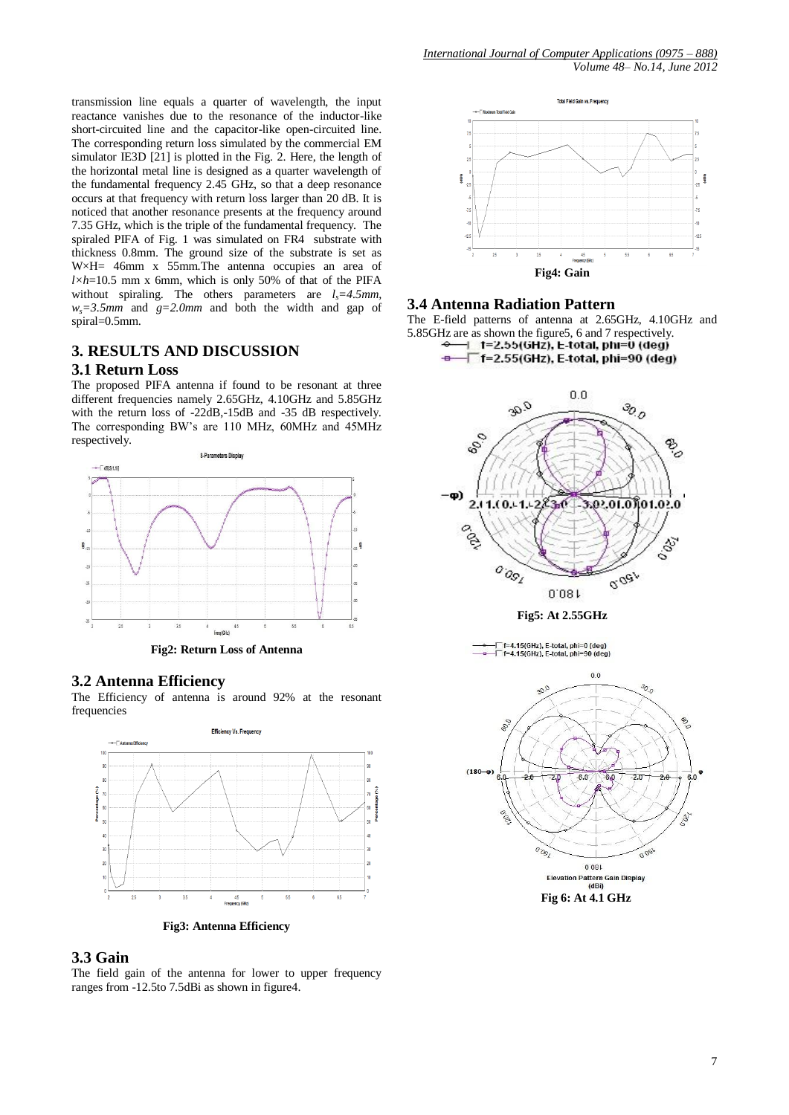transmission line equals a quarter of wavelength, the input reactance vanishes due to the resonance of the inductor-like short-circuited line and the capacitor-like open-circuited line. The corresponding return loss simulated by the commercial EM simulator  $IE3D [21]$  is plotted in the Fig. 2. Here, the length of the horizontal metal line is designed as a quarter wavelength of the fundamental frequency 2.45 GHz, so that a deep resonance occurs at that frequency with return loss larger than 20 dB. It is noticed that another resonance presents at the frequency around 7.35 GHz, which is the triple of the fundamental frequency. The spiraled PIFA of Fig. 1 was simulated on FR4 substrate with thickness 0.8mm. The ground size of the substrate is set as W×H= 46mm x 55mm.The antenna occupies an area of *l×h*=10.5 mm x 6mm, which is only 50% of that of the PIFA without spiraling. The others parameters are  $l_s = 4.5$  mm,  $w_s = 3.5$ mm and  $g = 2.0$ mm and both the width and gap of spiral=0.5mm.

## **3. RESULTS AND DISCUSSION**

### **3.1 Return Loss**

The proposed PIFA antenna if found to be resonant at three different frequencies namely 2.65GHz, 4.10GHz and 5.85GHz with the return loss of -22dB,-15dB and -35 dB respectively. The corresponding BW"s are 110 MHz, 60MHz and 45MHz respectively.



**Fig2: Return Loss of Antenna**

#### **3.2 Antenna Efficiency**

The Efficiency of antenna is around 92% at the resonant frequencies



**Fig3: Antenna Efficiency**

#### **3.3 Gain**

The field gain of the antenna for lower to upper frequency ranges from -12.5to 7.5dBi as shown in figure4.



#### **3.4 Antenna Radiation Pattern**

The E-field patterns of antenna at 2.65GHz, 4.10GHz and 5.85GHz are as shown the figure5, 6 and 7 respectively.<br> $\leftarrow$  **1=2.55(GHz), E-total, phi=0 (deg)** 

F f=2.55(GHz), E-total, phi=90 (deg)



. f=4.15(GHz), E-total, phi=0 (deg<mark>)</mark><br>└ f=4.15(GHz), E-total, phi=90 (deg)

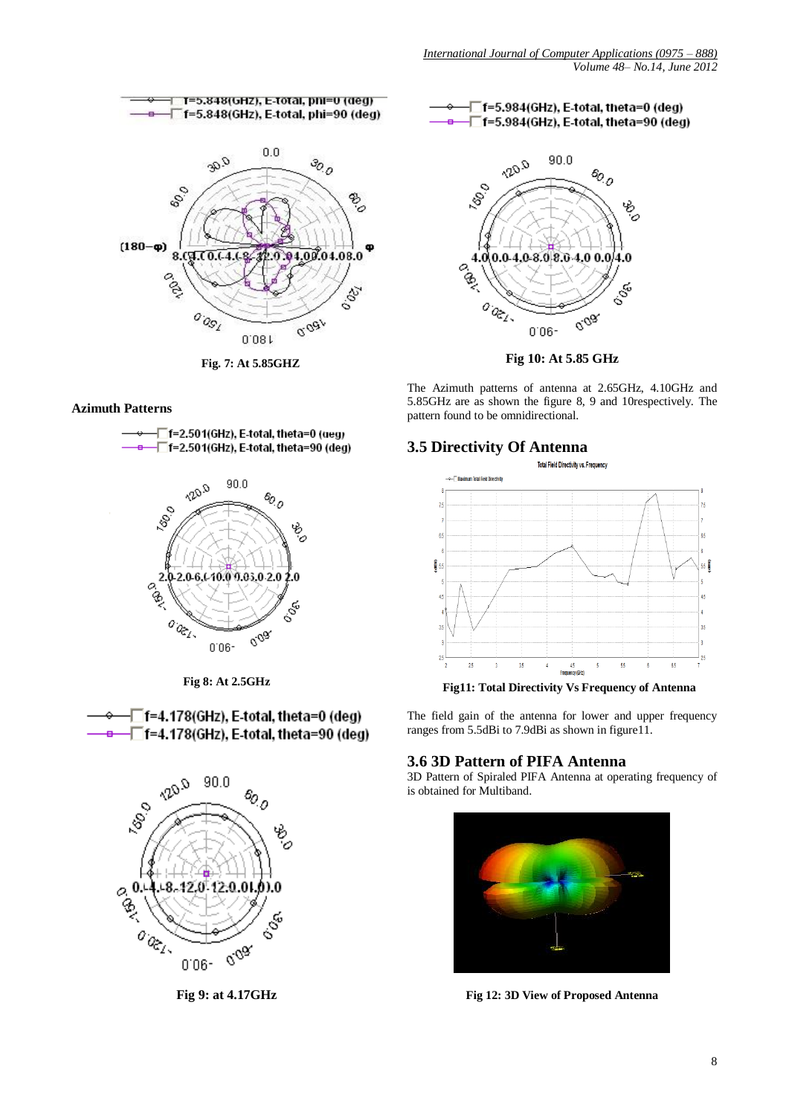

**Fig. 7: At 5.85GHZ**

# **Azimuth Patterns**





**Fig 8: At 2.5GHz**





**Fig 9: at 4.17GHz**





**Fig 10: At 5.85 GHz**

The Azimuth patterns of antenna at 2.65GHz, 4.10GHz and 5.85GHz are as shown the figure 8, 9 and 10respectively. The pattern found to be omnidirectional.

## **3.5 Directivity Of Antenna**



**Fig11: Total Directivity Vs Frequency of Antenna**

The field gain of the antenna for lower and upper frequency ranges from 5.5dBi to 7.9dBi as shown in figure11.

## **3.6 3D Pattern of PIFA Antenna**

3D Pattern of Spiraled PIFA Antenna at operating frequency of is obtained for Multiband.



**Fig 12: 3D View of Proposed Antenna**